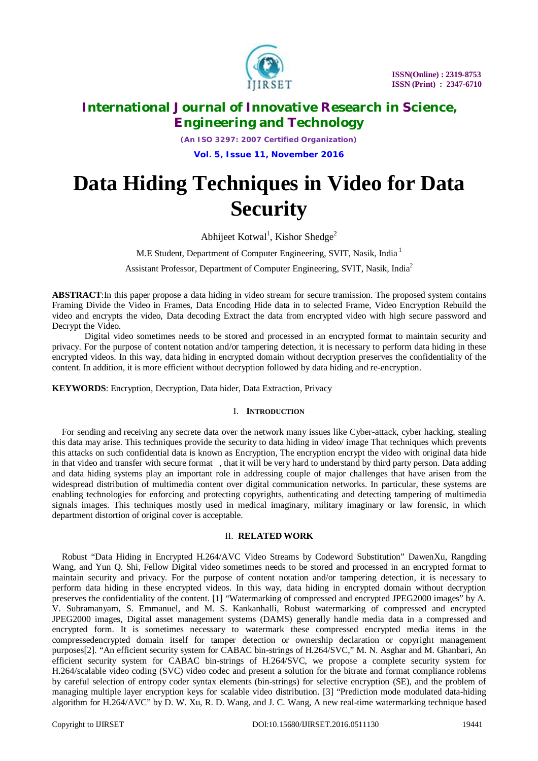

*(An ISO 3297: 2007 Certified Organization)*

**Vol. 5, Issue 11, November 2016**

# **Data Hiding Techniques in Video for Data Security**

Abhijeet Kotwal<sup>1</sup>, Kishor Shedge<sup>2</sup>

M.E Student, Department of Computer Engineering, SVIT, Nasik, India <sup>1</sup>

Assistant Professor, Department of Computer Engineering, SVIT, Nasik, India<sup>2</sup>

**ABSTRACT**:In this paper propose a data hiding in video stream for secure tramission. The proposed system contains Framing Divide the Video in Frames, Data Encoding Hide data in to selected Frame, Video Encryption Rebuild the video and encrypts the video, Data decoding Extract the data from encrypted video with high secure password and Decrypt the Video.

Digital video sometimes needs to be stored and processed in an encrypted format to maintain security and privacy. For the purpose of content notation and/or tampering detection, it is necessary to perform data hiding in these encrypted videos. In this way, data hiding in encrypted domain without decryption preserves the confidentiality of the content. In addition, it is more efficient without decryption followed by data hiding and re-encryption.

**KEYWORDS**: Encryption, Decryption, Data hider, Data Extraction, Privacy

#### I. **INTRODUCTION**

For sending and receiving any secrete data over the network many issues like Cyber-attack, cyber hacking, stealing this data may arise. This techniques provide the security to data hiding in video/ image That techniques which prevents this attacks on such confidential data is known as Encryption, The encryption encrypt the video with original data hide in that video and transfer with secure format , that it will be very hard to understand by third party person. Data adding and data hiding systems play an important role in addressing couple of major challenges that have arisen from the widespread distribution of multimedia content over digital communication networks. In particular, these systems are enabling technologies for enforcing and protecting copyrights, authenticating and detecting tampering of multimedia signals images. This techniques mostly used in medical imaginary, military imaginary or law forensic, in which department distortion of original cover is acceptable.

#### II. **RELATED WORK**

Robust "Data Hiding in Encrypted H.264/AVC Video Streams by Codeword Substitution" DawenXu, Rangding Wang, and Yun Q. Shi, Fellow Digital video sometimes needs to be stored and processed in an encrypted format to maintain security and privacy. For the purpose of content notation and/or tampering detection, it is necessary to perform data hiding in these encrypted videos. In this way, data hiding in encrypted domain without decryption preserves the confidentiality of the content. [1] "Watermarking of compressed and encrypted JPEG2000 images" by A. V. Subramanyam, S. Emmanuel, and M. S. Kankanhalli, Robust watermarking of compressed and encrypted JPEG2000 images, Digital asset management systems (DAMS) generally handle media data in a compressed and encrypted form. It is sometimes necessary to watermark these compressed encrypted media items in the compressedencrypted domain itself for tamper detection or ownership declaration or copyright management purposes[2]. "An efficient security system for CABAC bin-strings of H.264/SVC," M. N. Asghar and M. Ghanbari, An efficient security system for CABAC bin-strings of H.264/SVC, we propose a complete security system for H.264/scalable video coding (SVC) video codec and present a solution for the bitrate and format compliance roblems by careful selection of entropy coder syntax elements (bin-strings) for selective encryption (SE), and the problem of managing multiple layer encryption keys for scalable video distribution. [3] "Prediction mode modulated data-hiding algorithm for H.264/AVC" by D. W. Xu, R. D. Wang, and J. C. Wang, A new real-time watermarking technique based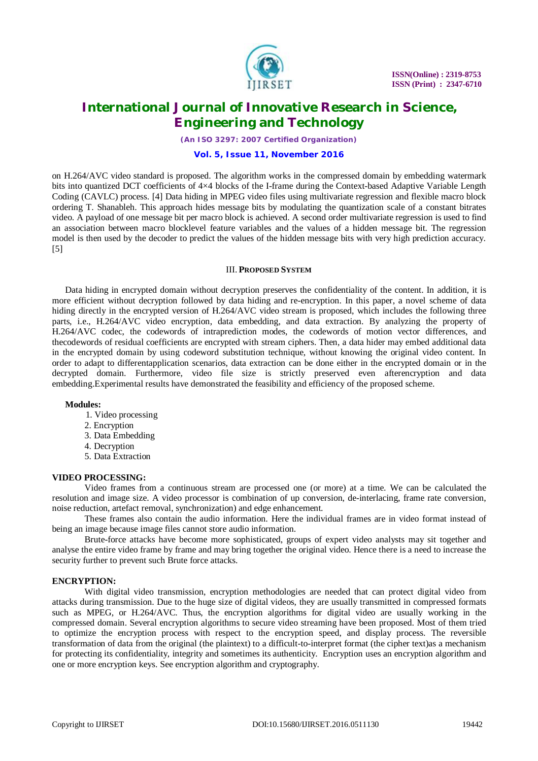

*(An ISO 3297: 2007 Certified Organization)*

#### **Vol. 5, Issue 11, November 2016**

on H.264/AVC video standard is proposed. The algorithm works in the compressed domain by embedding watermark bits into quantized DCT coefficients of 4×4 blocks of the I-frame during the Context-based Adaptive Variable Length Coding (CAVLC) process. [4] Data hiding in MPEG video files using multivariate regression and flexible macro block ordering T. Shanableh. This approach hides message bits by modulating the quantization scale of a constant bitrates video. A payload of one message bit per macro block is achieved. A second order multivariate regression is used to find an association between macro blocklevel feature variables and the values of a hidden message bit. The regression model is then used by the decoder to predict the values of the hidden message bits with very high prediction accuracy. [5]

#### III. **PROPOSED SYSTEM**

Data hiding in encrypted domain without decryption preserves the confidentiality of the content. In addition, it is more efficient without decryption followed by data hiding and re-encryption. In this paper, a novel scheme of data hiding directly in the encrypted version of H.264/AVC video stream is proposed, which includes the following three parts, i.e., H.264/AVC video encryption, data embedding, and data extraction. By analyzing the property of H.264/AVC codec, the codewords of intraprediction modes, the codewords of motion vector differences, and thecodewords of residual coefficients are encrypted with stream ciphers. Then, a data hider may embed additional data in the encrypted domain by using codeword substitution technique, without knowing the original video content. In order to adapt to differentapplication scenarios, data extraction can be done either in the encrypted domain or in the decrypted domain. Furthermore, video file size is strictly preserved even afterencryption and data embedding.Experimental results have demonstrated the feasibility and efficiency of the proposed scheme.

#### **Modules:**

- 1. Video processing
- 2. Encryption
- 3. Data Embedding
- 4. Decryption
- 5. Data Extraction

#### **VIDEO PROCESSING:**

Video frames from a continuous stream are processed one (or more) at a time. We can be calculated the resolution and image size. A video processor is combination of up conversion, de-interlacing, frame rate conversion, noise reduction, artefact removal, synchronization) and edge enhancement.

These frames also contain the audio information. Here the individual frames are in video format instead of being an image because image files cannot store audio information.

Brute-force attacks have become more sophisticated, groups of expert video analysts may sit together and analyse the entire video frame by frame and may bring together the original video. Hence there is a need to increase the security further to prevent such Brute force attacks.

### **ENCRYPTION:**

With digital video transmission, encryption methodologies are needed that can protect digital video from attacks during transmission. Due to the huge size of digital videos, they are usually transmitted in compressed formats such as MPEG, or H.264/AVC. Thus, the encryption algorithms for digital video are usually working in the compressed domain. Several encryption algorithms to secure video streaming have been proposed. Most of them tried to optimize the encryption process with respect to the encryption speed, and display process. The reversible transformation of data from the original (the plaintext) to a difficult-to-interpret format (the cipher text)as a mechanism for protecting its confidentiality, integrity and sometimes its authenticity. Encryption uses an encryption algorithm and one or more encryption keys. See encryption algorithm and cryptography.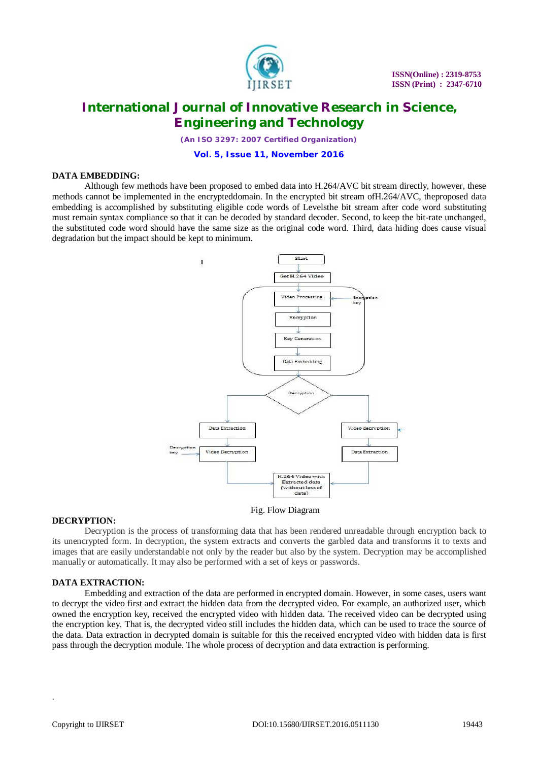

*(An ISO 3297: 2007 Certified Organization)*

#### **Vol. 5, Issue 11, November 2016**

#### **DATA EMBEDDING:**

Although few methods have been proposed to embed data into H.264/AVC bit stream directly, however, these methods cannot be implemented in the encrypteddomain. In the encrypted bit stream ofH.264/AVC, theproposed data embedding is accomplished by substituting eligible code words of Levelsthe bit stream after code word substituting must remain syntax compliance so that it can be decoded by standard decoder. Second, to keep the bit-rate unchanged, the substituted code word should have the same size as the original code word. Third, data hiding does cause visual degradation but the impact should be kept to minimum.



#### Fig. Flow Diagram

#### **DECRYPTION:**

Decryption is the process of transforming data that has been rendered unreadable through encryption back to its unencrypted form. In decryption, the system extracts and converts the garbled data and transforms it to texts and images that are easily understandable not only by the reader but also by the system. Decryption may be accomplished manually or automatically. It may also be performed with a set of keys or passwords.

#### **DATA EXTRACTION:**

Embedding and extraction of the data are performed in encrypted domain. However, in some cases, users want to decrypt the video first and extract the hidden data from the decrypted video. For example, an authorized user, which owned the encryption key, received the encrypted video with hidden data. The received video can be decrypted using the encryption key. That is, the decrypted video still includes the hidden data, which can be used to trace the source of the data. Data extraction in decrypted domain is suitable for this the received encrypted video with hidden data is first pass through the decryption module. The whole process of decryption and data extraction is performing.

.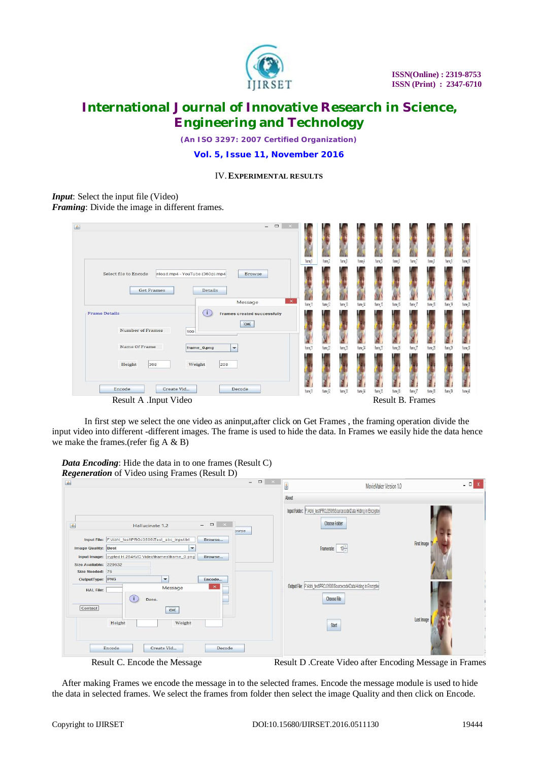

*(An ISO 3297: 2007 Certified Organization)*

**Vol. 5, Issue 11, November 2016**

### IV.**EXPERIMENTAL RESULTS**

### *Input*: Select the input file (Video) *Framing*: Divide the image in different frames.

| $\qquad \qquad \Box$<br>÷.<br>$\propto$                                                                  |          |                     |                     |                     |                       |                  |                     |                     |                     |           |
|----------------------------------------------------------------------------------------------------------|----------|---------------------|---------------------|---------------------|-----------------------|------------------|---------------------|---------------------|---------------------|-----------|
|                                                                                                          | frame 1  | frame 2             | frame 3             | frame 4             | frame 5               | frame 6          | frame 7             | frame 8             | frame 9             | frame, 10 |
| Select file to Encode<br>nload.mp4 - YouTube (360p).mp4<br><b>Browse</b><br><b>Get Frames</b><br>Details |          |                     |                     |                     |                       |                  |                     |                     |                     |           |
| $\pmb{\times}$<br>Message                                                                                | frame 11 | frame <sub>12</sub> | frame <sub>13</sub> | frame <sub>14</sub> | frame <sub>.</sub> 15 | frame 16         | frame <sub>17</sub> | frame <sub>18</sub> | frame <sub>19</sub> | frame 20  |
| Œ<br><b>Frame Details</b><br>Frames created successfully<br>OK<br><b>Number of Frames</b><br>100         |          |                     |                     |                     |                       |                  |                     |                     |                     |           |
| Name Of Frame<br>frame_0.png<br>$\overline{\phantom{a}}$                                                 | frame 21 | frame 22            | frame 23            | frame 24            | frame 25              | frame 26         | frame 27            | frame 28            | frame 29            | frame 30  |
| Height<br>368<br>Weight<br>208                                                                           |          |                     |                     |                     |                       |                  |                     |                     |                     |           |
| Create Vid<br>Encode<br>Decode                                                                           | frame 31 | frame, 32           | frame <sub>33</sub> | frame <sub>34</sub> | frame 35              | frame 36         | frame 37            | frame 38            | frame, 39           | frame 40  |
| Result A .Input Video                                                                                    |          |                     |                     |                     |                       | Result B. Frames |                     |                     |                     |           |

In first step we select the one video as aninput,after click on Get Frames , the framing operation divide the input video into different -different images. The frame is used to hide the data. In Frames we easily hide the data hence we make the frames.(refer fig A & B)

*Data Encoding*: Hide the data in to one frames (Result C) *Regeneration* of Video using Frames (Result D)

| 金                                                                       |                                                                                                                                                                | $\overline{\phantom{a}}$<br>$\qquad \qquad \Box$<br>$\mathbb{R}^{\times}$ | MovieMaker Version 1.0<br>图                                                                       | $ -$        |
|-------------------------------------------------------------------------|----------------------------------------------------------------------------------------------------------------------------------------------------------------|---------------------------------------------------------------------------|---------------------------------------------------------------------------------------------------|-------------|
| $\bigcirc$                                                              | $\qquad \qquad \Box$<br>Hallucinate 1.2                                                                                                                        | $\mathbb{R} \times \mathbb{R}$<br>owse                                    | About<br>Input Folder: F:\Abhi_test\PROJ3506\Sourcecode\Data Hiding in Encrypted<br>Choose Folder |             |
| <b>Image Quality: Best</b><br>Size Available: 229632<br>Size Needed: 76 | Input File: F:\Abhi_test\PROJ3506\Test_abc_input.txt<br>Browse<br>$\overline{\phantom{0}}$<br>Input Image: crypted H.264AVC Video\frames\frame_0.png<br>Browse |                                                                           | Framerate:                                                                                        | First Image |
| OutputType: PNG<br><b>HAL File:</b><br>Contact                          | $\blacktriangledown$<br>Encode<br>$\times$<br>Message<br>$\sqrt{1}$<br>Done.<br>OK                                                                             |                                                                           | Output File: F:Abhi_testIPROJ3506ISourcecode\Data Hiding in Encrypted<br>Choose File              |             |
| Height<br>Encode                                                        | Weight<br>Create Vid                                                                                                                                           | Decode                                                                    | <b>Start</b>                                                                                      | Last Image  |

Result C. Encode the Message Result D .Create Video after Encoding Message in Frames

After making Frames we encode the message in to the selected frames. Encode the message module is used to hide the data in selected frames. We select the frames from folder then select the image Quality and then click on Encode.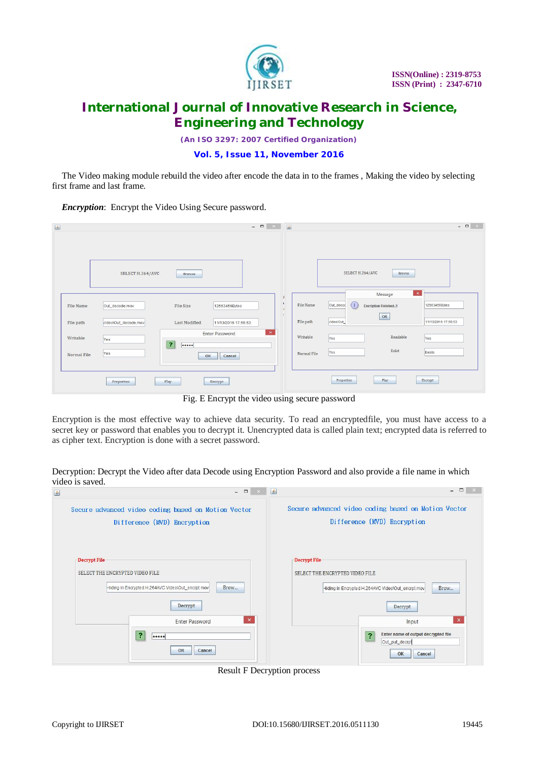

*(An ISO 3297: 2007 Certified Organization)*

### **Vol. 5, Issue 11, November 2016**

The Video making module rebuild the video after encode the data in to the frames , Making the video by selecting first frame and last frame.

*Encryption*: Encrypt the Video Using Secure password.

| $\triangle$                       |                                      | $  \times$ $\blacksquare$<br>一 |             |                                                                 | $\begin{array}{c c c c c} \hline \multicolumn{3}{c }{\mathbf{m}} & \times \end{array}$ |
|-----------------------------------|--------------------------------------|--------------------------------|-------------|-----------------------------------------------------------------|----------------------------------------------------------------------------------------|
|                                   |                                      |                                |             |                                                                 |                                                                                        |
|                                   |                                      |                                |             |                                                                 |                                                                                        |
|                                   |                                      |                                |             |                                                                 |                                                                                        |
| SELECT H.264/AVC                  | Browse                               |                                |             | SELECT H.264/AVC<br>Browse                                      |                                                                                        |
|                                   |                                      |                                |             |                                                                 |                                                                                        |
|                                   |                                      |                                |             | $\mathbf{\times}$<br>Message                                    |                                                                                        |
| File Name<br>Out_decode.mov       | File Size<br>12563456Bytes           | T.<br>H.                       | File Name   | Т<br>Out_decod<br>12563456Bytes<br><b>Encription Finished!!</b> |                                                                                        |
| File path<br>video\Out_decode.mov | Last Modified<br>11/13/2016 17:59:53 |                                | File path   | OK<br>video\Out_<br>11/13/2016 17:59:53                         |                                                                                        |
|                                   | <b>Enter Password</b>                | $\pmb{\times}$                 |             |                                                                 |                                                                                        |
| Writable<br>Yes<br>$\overline{2}$ |                                      |                                | Writable    | Readable<br>Yes<br>Yes                                          |                                                                                        |
| Yes<br>Normal File                | Cancel<br>OK                         |                                | Normal File | Exist<br>Exists<br>Yes                                          |                                                                                        |
|                                   |                                      |                                |             |                                                                 |                                                                                        |
|                                   |                                      |                                |             |                                                                 |                                                                                        |
| Play<br>Properties                | Encrypt                              |                                |             | Play<br>Properties<br>Encrypt                                   |                                                                                        |

Fig. E Encrypt the video using secure password

Encryption is the most effective way to achieve data security. To read an encryptedfile, you must have access to a secret key or password that enables you to decrypt it. Unencrypted data is called plain text; encrypted data is referred to as cipher text. Encryption is done with a secret password.

Decryption: Decrypt the Video after data Decode using Encryption Password and also provide a file name in which video is saved.  $-1$   $\sim$   $-1$ 

| $\overline{\phantom{0}}$                                                                                     | <u> - 스 코</u>                                                                                                |
|--------------------------------------------------------------------------------------------------------------|--------------------------------------------------------------------------------------------------------------|
| Secure advanced video coding based on Motion Vector<br>Difference (MVD) Encryption                           | Secure advanced video coding based on Motion Vector<br>Difference (MVD) Encryption                           |
| Decrypt File<br>SELECT THE ENCRYPTED VIDEO FILE<br>Brow<br>Hiding in Encrypted H.264AVC Video\Out encrpt.mov | Decrypt File<br>SELECT THE ENCRYPTED VIDEO FILE<br>Brow<br>Hiding in Encrypted H.264AVC Video\Out_encrpt.mov |
| Decrypt<br><b>Enter Password</b>                                                                             | Decrypt<br>$\mathbf{x}$<br>$\boldsymbol{\times}$<br>Input                                                    |
| የ<br><br>OK<br>Cancel                                                                                        | Enter name of output decrypted file<br>$\overline{\mathbf{r}}$<br>Out_put_decrpt<br>OK<br>Cancel             |

Result F Decryption process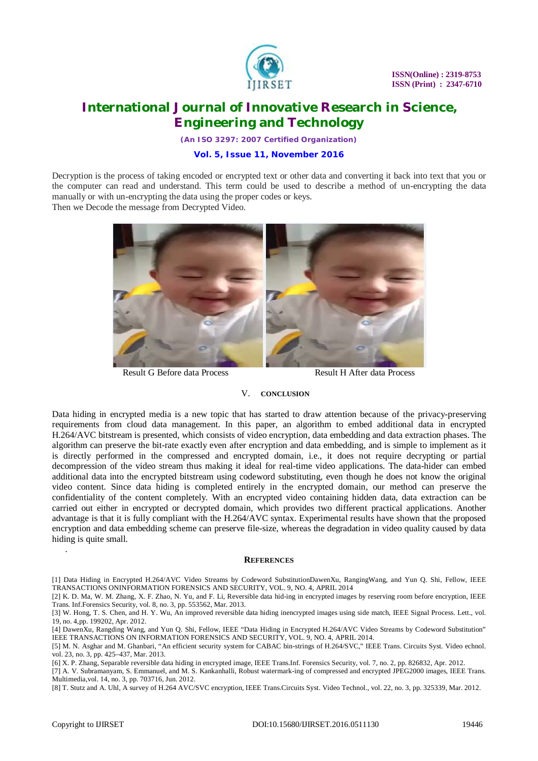

*(An ISO 3297: 2007 Certified Organization)*

### **Vol. 5, Issue 11, November 2016**

Decryption is the process of taking encoded or encrypted text or other data and converting it back into text that you or the computer can read and understand. This term could be used to describe a method of un-encrypting the data manually or with un-encrypting the data using the proper codes or keys. Then we Decode the message from Decrypted Video.



Result G Before data Process Result H After data Process

#### V. **CONCLUSION**

Data hiding in encrypted media is a new topic that has started to draw attention because of the privacy-preserving requirements from cloud data management. In this paper, an algorithm to embed additional data in encrypted H.264/AVC bitstream is presented, which consists of video encryption, data embedding and data extraction phases. The algorithm can preserve the bit-rate exactly even after encryption and data embedding, and is simple to implement as it is directly performed in the compressed and encrypted domain, i.e., it does not require decrypting or partial decompression of the video stream thus making it ideal for real-time video applications. The data-hider can embed additional data into the encrypted bitstream using codeword substituting, even though he does not know the original video content. Since data hiding is completed entirely in the encrypted domain, our method can preserve the confidentiality of the content completely. With an encrypted video containing hidden data, data extraction can be carried out either in encrypted or decrypted domain, which provides two different practical applications. Another advantage is that it is fully compliant with the H.264/AVC syntax. Experimental results have shown that the proposed encryption and data embedding scheme can preserve file-size, whereas the degradation in video quality caused by data hiding is quite small.

#### **REFERENCES**

[8] T. Stutz and A. Uhl, A survey of H.264 AVC/SVC encryption, IEEE Trans.Circuits Syst. Video Technol., vol. 22, no. 3, pp. 325339, Mar. 2012.

.

<sup>[1]</sup> Data Hiding in Encrypted H.264/AVC Video Streams by Codeword SubstitutionDawenXu, RangingWang, and Yun Q. Shi, Fellow, IEEE TRANSACTIONS ONINFORMATION FORENSICS AND SECURITY, VOL. 9, NO. 4, APRIL 2014

<sup>[2]</sup> K. D. Ma, W. M. Zhang, X. F. Zhao, N. Yu, and F. Li, Reversible data hid-ing in encrypted images by reserving room before encryption, IEEE Trans. Inf.Forensics Security, vol. 8, no. 3, pp. 553562, Mar. 2013.

<sup>[3]</sup> W. Hong, T. S. Chen, and H. Y. Wu, An improved reversible data hiding inencrypted images using side match, IEEE Signal Process. Lett., vol. 19, no. 4,pp. 199202, Apr. 2012.

<sup>[4]</sup> DawenXu, Rangding Wang, and Yun Q. Shi, Fellow, IEEE "Data Hiding in Encrypted H.264/AVC Video Streams by Codeword Substitution" IEEE TRANSACTIONS ON INFORMATION FORENSICS AND SECURITY, VOL. 9, NO. 4, APRIL 2014.

<sup>[5]</sup> M. N. Asghar and M. Ghanbari, "An efficient security system for CABAC bin-strings of H.264/SVC," IEEE Trans. Circuits Syst. Video echnol. vol. 23, no. 3, pp. 425–437, Mar. 2013.

<sup>[6]</sup> X. P. Zhang, Separable reversible data hiding in encrypted image, IEEE Trans.Inf. Forensics Security, vol. 7, no. 2, pp. 826832, Apr. 2012.

<sup>[7]</sup> A. V. Subramanyam, S. Emmanuel, and M. S. Kankanhalli, Robust watermark-ing of compressed and encrypted JPEG2000 images, IEEE Trans. Multimedia,vol. 14, no. 3, pp. 703716, Jun. 2012.